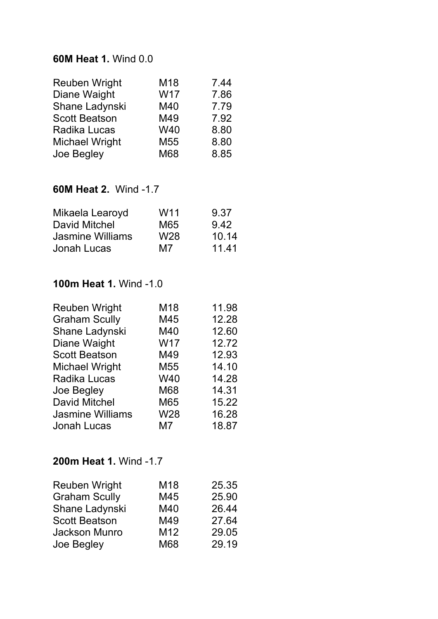#### **60M Heat 1.** Wind 0.0

| M18             | 7.44 |
|-----------------|------|
| W17             | 7.86 |
| M40             | 7.79 |
| M49             | 7.92 |
| W40             | 8.80 |
| M <sub>55</sub> | 8.80 |
| M68             | 8.85 |
|                 |      |

### **60M Heat 2.** Wind -1.7

| Mikaela Learoyd         | W <sub>11</sub> | 9.37  |
|-------------------------|-----------------|-------|
| David Mitchel           | M65             | 9.42  |
| <b>Jasmine Williams</b> | W <sub>28</sub> | 10.14 |
| Jonah Lucas             | M7              | 11.41 |
|                         |                 |       |

## **100m Heat 1.** Wind -1.0

| <b>Reuben Wright</b>    | M18             | 11.98 |
|-------------------------|-----------------|-------|
| <b>Graham Scully</b>    | M45             | 12.28 |
| Shane Ladynski          | M40             | 12.60 |
| Diane Waight            | <b>W17</b>      | 12.72 |
| <b>Scott Beatson</b>    | M49             | 12.93 |
| <b>Michael Wright</b>   | M <sub>55</sub> | 14.10 |
| <b>Radika Lucas</b>     | W40             | 14.28 |
| Joe Begley              | M68             | 14.31 |
| <b>David Mitchel</b>    | M65             | 15.22 |
| <b>Jasmine Williams</b> | W28             | 16.28 |
| <b>Jonah Lucas</b>      | M7              | 18.87 |

# **200m Heat 1.** Wind -1.7

| M18             | 25.35 |
|-----------------|-------|
| M45             | 25.90 |
| M40             | 26.44 |
| M49             | 27.64 |
| M <sub>12</sub> | 29.05 |
| M68             | 29.19 |
|                 |       |